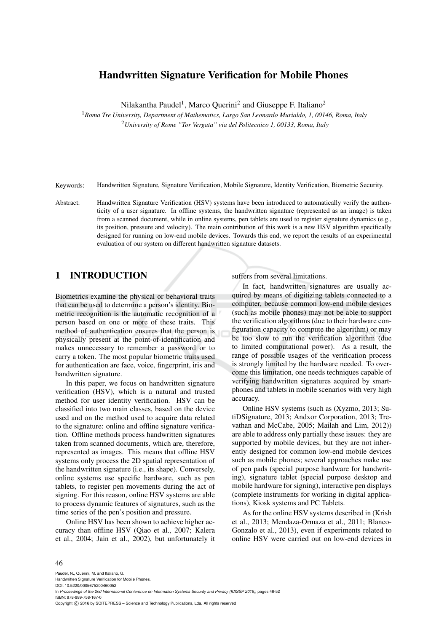# Handwritten Signature Verification for Mobile Phones

Nilakantha Paudel<sup>1</sup>, Marco Querini<sup>2</sup> and Giuseppe F. Italiano<sup>2</sup>

<sup>1</sup>*Roma Tre University, Department of Mathematics, Largo San Leonardo Murialdo, 1, 00146, Roma, Italy* <sup>2</sup>*University of Rome "Tor Vergata" via del Politecnico 1, 00133, Roma, Italy*

Keywords: Handwritten Signature, Signature Verification, Mobile Signature, Identity Verification, Biometric Security.

Abstract: Handwritten Signature Verification (HSV) systems have been introduced to automatically verify the authenticity of a user signature. In offline systems, the handwritten signature (represented as an image) is taken from a scanned document, while in online systems, pen tablets are used to register signature dynamics (e.g., its position, pressure and velocity). The main contribution of this work is a new HSV algorithm specifically designed for running on low-end mobile devices. Towards this end, we report the results of an experimental evaluation of our system on different handwritten signature datasets.

# 1 INTRODUCTION

Biometrics examine the physical or behavioral traits that can be used to determine a person's identity. Biometric recognition is the automatic recognition of a person based on one or more of these traits. This method of authentication ensures that the person is physically present at the point-of-identification and makes unnecessary to remember a password or to carry a token. The most popular biometric traits used for authentication are face, voice, fingerprint, iris and handwritten signature.

In this paper, we focus on handwritten signature verification (HSV), which is a natural and trusted method for user identity verification. HSV can be classified into two main classes, based on the device used and on the method used to acquire data related to the signature: online and offline signature verification. Offline methods process handwritten signatures taken from scanned documents, which are, therefore, represented as images. This means that offline HSV systems only process the 2D spatial representation of the handwritten signature (i.e., its shape). Conversely, online systems use specific hardware, such as pen tablets, to register pen movements during the act of signing. For this reason, online HSV systems are able to process dynamic features of signatures, such as the time series of the pen's position and pressure.

Online HSV has been shown to achieve higher accuracy than offline HSV (Qiao et al., 2007; Kalera et al., 2004; Jain et al., 2002), but unfortunately it suffers from several limitations.

In fact, handwritten signatures are usually acquired by means of digitizing tablets connected to a computer, because common low-end mobile devices (such as mobile phones) may not be able to support the verification algorithms (due to their hardware configuration capacity to compute the algorithm) or may be too slow to run the verification algorithm (due to limited computational power). As a result, the range of possible usages of the verification process is strongly limited by the hardware needed. To overcome this limitation, one needs techniques capable of verifying handwritten signatures acquired by smartphones and tablets in mobile scenarios with very high accuracy.

Online HSV systems (such as (Xyzmo, 2013; SutiDSignature, 2013; Andxor Corporation, 2013; Trevathan and McCabe, 2005; Mailah and Lim, 2012)) are able to address only partially these issues: they are supported by mobile devices, but they are not inherently designed for common low-end mobile devices such as mobile phones; several approaches make use of pen pads (special purpose hardware for handwriting), signature tablet (special purpose desktop and mobile hardware for signing), interactive pen displays (complete instruments for working in digital applications), Kiosk systems and PC Tablets.

As for the online HSV systems described in (Krish et al., 2013; Mendaza-Ormaza et al., 2011; Blanco-Gonzalo et al., 2013), even if experiments related to online HSV were carried out on low-end devices in

#### 46

Paudel, N., Querini, M. and Italiano, G. Handwritten Signature Verification for Mobile Phones. DOI: 10.5220/0005675200460052 In *Proceedings of the 2nd International Conference on Information Systems Security and Privacy (ICISSP 2016)*, pages 46-52 ISBN: 978-989-758-167-0 Copyright  $\odot$  2016 by SCITEPRESS - Science and Technology Publications, Lda. All rights reserved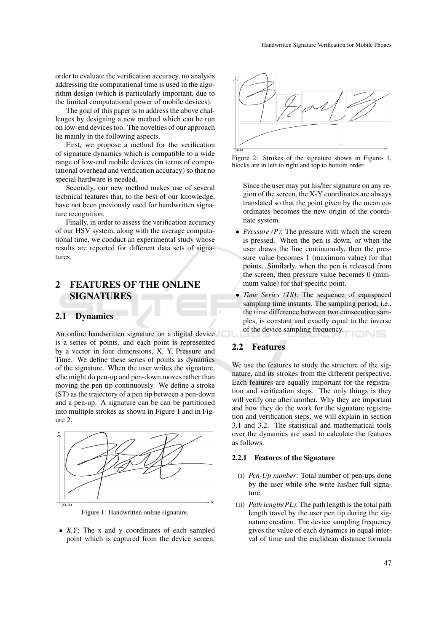order to evaluate the verification accuracy, no analysis addressing the computational time is used in the algorithm design (which is particularly important, due to the limited computational power of mobile devices).

The goal of this paper is to address the above challenges by designing a new method which can be run on low-end devices too. The novelties of our approach lie mainly in the following aspects.

First, we propose a method for the verification of signature dynamics which is compatible to a wide range of low-end mobile devices (in terms of computational overhead and verification accuracy) so that no special hardware is needed.

Secondly, our new method makes use of several technical features that, to the best of our knowledge, have not been previously used for handwritten signature recognition.

Finally, in order to assess the verification accuracy of our HSV system, along with the average computational time, we conduct an experimental study whose results are reported for different data sets of signatures.

# 2 FEATURES OF THE ONLINE SIGNATURES

## 2.1 Dynamics

An online handwritten signature on a digital device is a series of points, and each point is represented by a vector in four dimensions, X, Y, Pressure and Time. We define these series of points as dynamics of the signature. When the user writes the signature, s/he might do pen-up and pen-down moves rather than moving the pen tip continuously. We define a stroke (ST) as the trajectory of a pen tip between a pen-down and a pen-up. A signature can be can be partitioned into multiple strokes as shown in Figure 1 and in Figure 2.



Figure 1: Handwritten online signature.

• *X,Y*: The x and y coordinates of each sampled point which is captured from the device screen.



Figure 2: Strokes of the signature shown in Figure- 1, blocks are in left to right and top to bottom order.

Since the user may put his/her signature on any region of the screen, the X-Y coordinates are always translated so that the point given by the mean coordinates becomes the new origin of the coordinate system.

- *Pressure (P)*: The pressure with which the screen is pressed. When the pen is down, or when the user draws the line continuously, then the pressure value becomes 1 (maximum value) for that points. Similarly, when the pen is released from the screen, then pressure value becomes 0 (minimum value) for that specific point.
- *Time Series (TS)*: The sequence of equispaced sampling time instants. The sampling period, i.e., the time difference between two consecutive samples, is constant and exactly equal to the inverse of the device sampling frequency.

## 2.2 Features

We use the features to study the structure of the signature, and its strokes from the different perspective. Each features are equally important for the registration and verification steps. The only things is they will verify one after another. Why they are important and how they do the work for the signature registration and verification steps, we will explain in section 3.1 and 3.2. The statistical and mathematical tools over the dynamics are used to calculate the features as follows.

#### 2.2.1 Features of the Signature

- (i) *Pen-Up number*: Total number of pen-ups done by the user while s/he write his/her full signature.
- (ii) *Path length(PL)*: The path length is the total path length travel by the user pen tip during the signature creation. The device sampling frequency gives the value of each dynamics in equal interval of time and the euclidean distance formula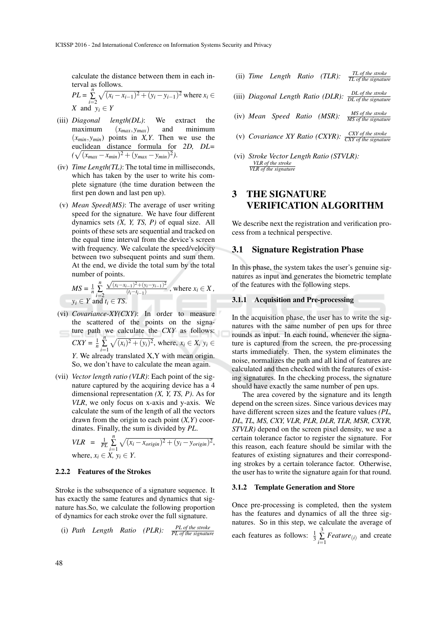calculate the distance between them in each interval as follows.

$$
PL = \sum_{i=2}^{n} \sqrt{(x_i - x_{i-1})^2 + (y_i - y_{i-1})^2}
$$
 where  $x_i \in X$  and  $y_i \in Y$ 

- (iii) *Diagonal length(DL)*: We extract the maximum  $(x_{max}, y_{max})$  and minimum  $(x_{min}, y_{min})$  points in *X,Y*. Then we use the euclidean distance formula for *2D, DL=*  $(\sqrt{(x_{max} - x_{min})^2 + (y_{max} - y_{min})^2}).$
- (iv) *Time Length(TL)*: The total time in milliseconds, which has taken by the user to write his complete signature (the time duration between the first pen down and last pen up).
- (v) *Mean Speed(MS)*: The average of user writing speed for the signature. We have four different dynamics sets *(X, Y, TS, P)* of equal size. All points of these sets are sequential and tracked on the equal time interval from the device's screen with frequency. We calculate the speed/velocity between two subsequent points and sum them. At the end, we divide the total sum by the total number of points.

$$
MS = \frac{1}{n} \sum_{i=2}^{n} \frac{\sqrt{(x_i - x_{i-1})^2 + (y_i - y_{i-1})^2}}{(t_i - t_{i-1})}
$$
, where  $x_i \in X$ ,  
 $y_i \in Y$  and  $t_i \in TS$ .

- (vi) *Covariance-XY(CXY)*: In order to measure the scattered of the points on the signature path we calculate the *CXY* as follows:  $CXY = \frac{1}{n}$ *n* ∑ *i*=1  $\sqrt{(x_i)^2 + (y_i)^2}$ , where, *x<sub>i</sub>* ∈ *X*, *y<sub>i</sub>* ∈ *Y*. We already translated X,Y with mean origin. So, we don't have to calculate the mean again.
- (vii) *Vector length ratio (VLR)*: Each point of the signature captured by the acquiring device has a 4 dimensional representation *(X, Y, TS, P)*. As for *VLR*, we only focus on x-axis and y-axis. We calculate the sum of the length of all the vectors drawn from the origin to each point (*X,Y*) coordinates. Finally, the sum is divided by *PL*.

$$
VLR = \frac{1}{PL} \sum_{i=1}^{n} \sqrt{(x_i - x_{origin})^2 + (y_i - y_{origin})^2},
$$
  
where,  $x_i \in X$ ,  $y_i \in Y$ .

#### 2.2.2 Features of the Strokes

Stroke is the subsequence of a signature sequence. It has exactly the same features and dynamics that signature has.So, we calculate the following proportion of dynamics for each stroke over the full signature.

(i) Path Length Ratio (PLR): 
$$
\frac{PL \ of \ the \ stroke}{PL \ of \ the \ signature}
$$

| (ii) Time Length Ratio $(TLR)$ : |  | TL of the stroke<br>TL of the signature |
|----------------------------------|--|-----------------------------------------|
|                                  |  |                                         |

- (iii) *Diagonal Length Ratio (DLR): DL of the stroke DL of the signature*
- (iv) *Mean Speed Ratio (MSR): MS of the stroke MS of the signature*
- (v) *Covariance XY Ratio (CXYR):*  $\frac{CXY \text{ of the stroke}}{CXY \text{ of the signature}}$
- (vi) *Stroke Vector Length Ratio (STVLR): VLR of the stroke VLR of the signature*

## 3 THE SIGNATURE VERIFICATION ALGORITHM

We describe next the registration and verification process from a technical perspective.

### 3.1 Signature Registration Phase

In this phase, the system takes the user's genuine signatures as input and generates the biometric template of the features with the following steps.

#### 3.1.1 Acquisition and Pre-processing

In the acquisition phase, the user has to write the signatures with the same number of pen ups for three rounds as input. In each round, whenever the signature is captured from the screen, the pre-processing starts immediately. Then, the system eliminates the noise, normalizes the path and all kind of features are calculated and then checked with the features of existing signatures. In the checking process, the signature should have exactly the same number of pen ups.

The area covered by the signature and its length depend on the screen sizes. Since various devices may have different screen sizes and the feature values *(PL, DL, TL, MS, CXY, VLR, PLR, DLR, TLR, MSR, CXYR, STVLR)* depend on the screen pixel density, we use a certain tolerance factor to register the signature. For this reason, each feature should be similar with the features of existing signatures and their corresponding strokes by a certain tolerance factor. Otherwise, the user has to write the signature again for that round.

#### 3.1.2 Template Generation and Store

Once pre-processing is completed, then the system has the features and dynamics of all the three signatures. So in this step, we calculate the average of each features as follows:  $\frac{1}{3}$  $\sum_{i=1}^{3} Feature_{(i)}$  and create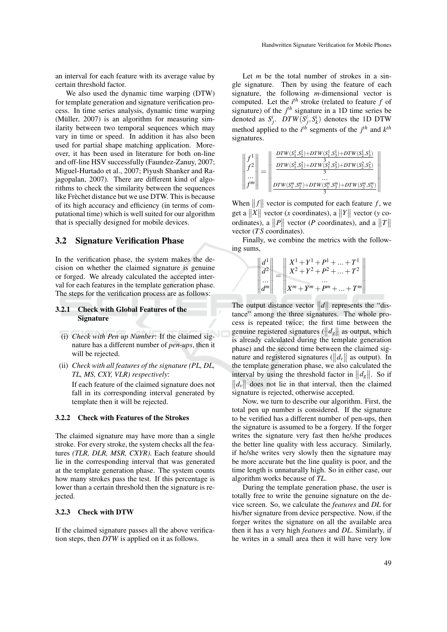an interval for each feature with its average value by certain threshold factor.

We also used the dynamic time warping (DTW) for template generation and signature verification process. In time series analysis, dynamic time warping (Müller,  $2007$ ) is an algorithm for measuring similarity between two temporal sequences which may vary in time or speed. In addition it has also been used for partial shape matching application. Moreover, it has been used in literature for both on-line and off-line HSV successfully (Faundez-Zanuy, 2007; Miguel-Hurtado et al., 2007; Piyush Shanker and Rajagopalan, 2007). There are different kind of algorithms to check the similarity between the sequences like Frèchet distance but we use DTW. This is because of its high accuracy and efficiency (in terms of computational time) which is well suited for our algorithm that is specially designed for mobile devices.

## 3.2 Signature Verification Phase

In the verification phase, the system makes the decision on whether the claimed signature is genuine or forged. We already calculated the accepted interval for each features in the template generation phase. The steps for the verification process are as follows:

#### 3.2.1 Check with Global Features of the **Signature**

- (i) *Check with Pen up Number*: If the claimed signature has a different number of *pen-ups*, then it will be rejected.
- (ii) *Check with all features of the signature (PL, DL, TL, MS, CXY, VLR) respectively*:

If each feature of the claimed signature does not fall in its corresponding interval generated by template then it will be rejected.

#### 3.2.2 Check with Features of the Strokes

The claimed signature may have more than a single stroke. For every stroke, the system checks all the features *(TLR, DLR, MSR, CXYR)*. Each feature should lie in the corresponding interval that was generated at the template generation phase. The system counts how many strokes pass the test. If this percentage is lower than a certain threshold then the signature is rejected.

#### 3.2.3 Check with DTW

If the claimed signature passes all the above verification steps, then *DTW* is applied on it as follows.

Let *m* be the total number of strokes in a single signature. Then by using the feature of each signature, the following *m*-dimensional vector is computed. Let the  $i^{th}$  stroke (related to feature  $f$  of signature) of the  $j<sup>th</sup>$  signature in a 1D time series be denoted as  $S_j^i$ .  $DTW(S_j^i, S_k^i)$  denotes the 1D DTW method applied to the  $i^{th}$  segments of the  $j^{th}$  and  $k^{th}$ signatures.

$$
\left\| \begin{matrix} f^1 \\ f^2 \\ \vdots \\ f^m \end{matrix} \right\| = \left\| \begin{array}{c} \frac{DTW(S_1^1,S_2^1)+DTW(S_1^1,S_3^1)+DTW(S_2^1,S_3^1)}{3} \\ \frac{DTW(S_1^2,S_2^2)+DTW(S_1^2,S_3^2)+DTW(S_2^2,S_3^2)}{3} \\ \frac{DTW(S_1^m,S_2^m)+DTW(S_1^m,S_3^m)+DTW(S_2^m,S_3^m)}{3} \end{array} \right\|
$$

When  $||f||$  vector is computed for each feature *f*, we get a  $\|\hat{X}\|$  vector (*x* coordinates), a  $\|Y\|$  vector (*y* coordinates), a  $||P||$  vector (*P* coordinates), and a  $||T||$ vector (*T S* coordinates).

Finally, we combine the metrics with the following sums,

$$
\begin{vmatrix} d^1 \\ d^2 \\ \dots \\ d^m \end{vmatrix} = \begin{vmatrix} X^1 + Y^1 + P^1 + \dots + T^1 \\ X^2 + Y^2 + P^2 + \dots + T^2 \\ \dots \\ X^m + Y^m + P^m + \dots + T^m \end{vmatrix}
$$

The output distance vector  $||d||$  represents the "distance" among the three signatures. The whole process is repeated twice; the first time between the genuine registered signatures ( $||d_g||$  as output, which is already calculated during the template generation phase) and the second time between the claimed signature and registered signatures ( $||d_v||$  as output). In the template generation phase, we also calculated the interval by using the threshold factor in  $||d_g||$ . So if  $||d_v||$  does not lie in that interval, then the claimed signature is rejected, otherwise accepted.

Now, we turn to describe our algorithm. First, the total pen up number is considered. If the signature to be verified has a different number of pen-ups, then the signature is assumed to be a forgery. If the forger writes the signature very fast then he/she produces the better line quality with less accuracy. Similarly, if he/she writes very slowly then the signature may be more accurate but the line quality is poor, and the time length is unnaturally high. So in either case, our algorithm works because of *TL*.

During the template generation phase, the user is totally free to write the genuine signature on the device screen. So, we calculate the *features* and *DL* for his/her signature from device perspective. Now, if the forger writes the signature on all the available area then it has a very high *features* and *DL*. Similarly, if he writes in a small area then it will have very low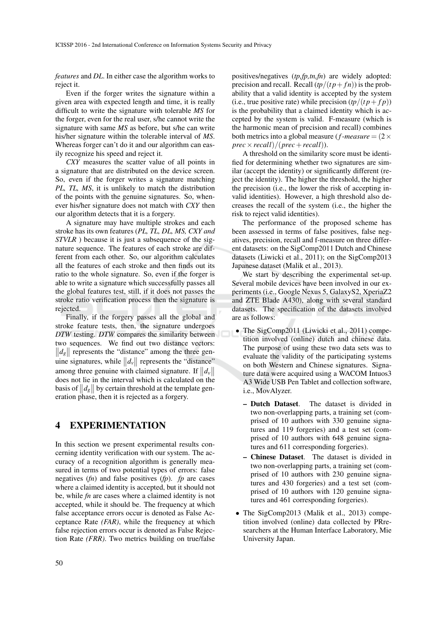*features* and *DL*. In either case the algorithm works to reject it.

Even if the forger writes the signature within a given area with expected length and time, it is really difficult to write the signature with tolerable *MS* for the forger, even for the real user, s/he cannot write the signature with same *MS* as before, but s/he can write his/her signature within the tolerable interval of *MS*. Whereas forger can't do it and our algorithm can easily recognize his speed and reject it.

*CXY* measures the scatter value of all points in a signature that are distributed on the device screen. So, even if the forger writes a signature matching *PL, TL, MS*, it is unlikely to match the distribution of the points with the genuine signatures. So, whenever his/her signature does not match with *CXY* then our algorithm detects that it is a forgery.

A signature may have multiple strokes and each stroke has its own features (*PL, TL, DL, MS, CXY and STVLR* ) because it is just a subsequence of the signature sequence. The features of each stroke are different from each other. So, our algorithm calculates all the features of each stroke and then finds out its ratio to the whole signature. So, even if the forger is able to write a signature which successfully passes all the global features test, still, if it does not passes the stroke ratio verification process then the signature is rejected.

Finally, if the forgery passes all the global and stroke feature tests, then, the signature undergoes *DTW* testing. *DTW* compares the similarity between two sequences. We find out two distance vectors:  $||d_g||$  represents the "distance" among the three genwhen signatures, while  $||d_v||$  represents the "distance" among three genuine with claimed signature. If  $||d_v||$ does not lie in the interval which is calculated on the basis of  $||d_g||$  by certain threshold at the template generation phase, then it is rejected as a forgery.

## 4 EXPERIMENTATION

In this section we present experimental results concerning identity verification with our system. The accuracy of a recognition algorithm is generally measured in terms of two potential types of errors: false negatives (*fn*) and false positives (*fp*). *fp* are cases where a claimed identity is accepted, but it should not be, while *fn* are cases where a claimed identity is not accepted, while it should be. The frequency at which false acceptance errors occur is denoted as False Acceptance Rate *(FAR)*, while the frequency at which false rejection errors occur is denoted as False Rejection Rate *(FRR)*. Two metrics building on true/false positives/negatives (*tp,fp,tn,fn*) are widely adopted: precision and recall. Recall  $(tp/(tp + fn))$  is the probability that a valid identity is accepted by the system (i.e., true positive rate) while precision  $(tp/(tp + fp))$ is the probability that a claimed identity which is accepted by the system is valid. F-measure (which is the harmonic mean of precision and recall) combines both metrics into a global measure ( $f$ - $measure = (2 \times$  $prec \times recall)/(prec+recall)$ .

A threshold on the similarity score must be identified for determining whether two signatures are similar (accept the identity) or significantly different (reject the identity). The higher the threshold, the higher the precision (i.e., the lower the risk of accepting invalid identities). However, a high threshold also decreases the recall of the system (i.e., the higher the risk to reject valid identities).

The performance of the proposed scheme has been assessed in terms of false positives, false negatives, precision, recall and f-measure on three different datasets: on the SigComp2011 Dutch and Chinese datasets (Liwicki et al., 2011); on the SigComp2013 Japanese dataset (Malik et al., 2013).

We start by describing the experimental set-up. Several mobile devices have been involved in our experiments (i.e., Google Nexus 5, GalaxyS2, XperiaZ2 and ZTE Blade A430), along with several standard datasets. The specification of the datasets involved are as follows:

- The SigComp2011 (Liwicki et al., 2011) competition involved (online) dutch and chinese data. The purpose of using these two data sets was to evaluate the validity of the participating systems on both Western and Chinese signatures. Signature data were acquired using a WACOM Intuos3 A3 Wide USB Pen Tablet and collection software, i.e., MovAlyzer.
	- Dutch Dataset. The dataset is divided in two non-overlapping parts, a training set (comprised of 10 authors with 330 genuine signatures and 119 forgeries) and a test set (comprised of 10 authors with 648 genuine signatures and 611 corresponding forgeries).
	- Chinese Dataset. The dataset is divided in two non-overlapping parts, a training set (comprised of 10 authors with 230 genuine signatures and 430 forgeries) and a test set (comprised of 10 authors with 120 genuine signatures and 461 corresponding forgeries).
- The SigComp2013 (Malik et al., 2013) competition involved (online) data collected by PRresearchers at the Human Interface Laboratory, Mie University Japan.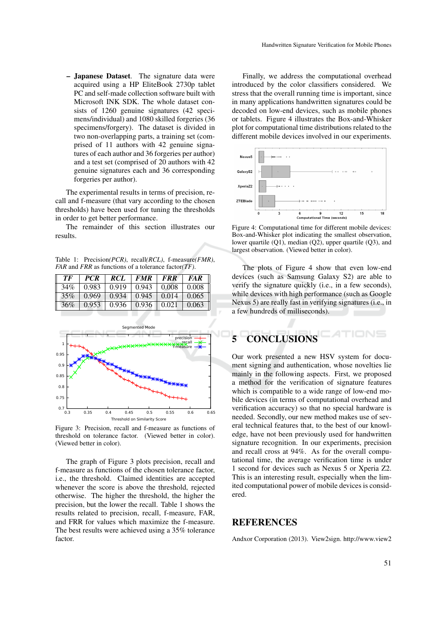– Japanese Dataset. The signature data were acquired using a HP EliteBook 2730p tablet PC and self-made collection software built with Microsoft INK SDK. The whole dataset consists of 1260 genuine signatures (42 specimens/individual) and 1080 skilled forgeries (36 specimens/forgery). The dataset is divided in two non-overlapping parts, a training set (comprised of 11 authors with 42 genuine signatures of each author and 36 forgeries per author) and a test set (comprised of 20 authors with 42 genuine signatures each and 36 corresponding forgeries per author).

The experimental results in terms of precision, recall and f-measure (that vary according to the chosen thresholds) have been used for tuning the thresholds in order to get better performance.

The remainder of this section illustrates our results.

Table 1: Precision*(PCR)*, recall*(RCL)*, f-measure*(FMR)*, *FAR* and *FRR* as functions of a tolerance factor*(TF)*.

| TF  | <b>PCR</b> | RCL   | <b>FMR</b> | FRR   | <i>FAR</i> |
|-----|------------|-------|------------|-------|------------|
| 34% | 0.983      | 0.919 | 0.943      | 0.008 | -0.008     |
| 35% | 0.969      | 0.934 | 0.945      | 0.014 | 0.065      |
| 36% | 0.953      | 0.936 | 0.936      | 0.021 | 0.063      |



Figure 3: Precision, recall and f-measure as functions of threshold on tolerance factor. (Viewed better in color). (Viewed better in color).

The graph of Figure 3 plots precision, recall and f-measure as functions of the chosen tolerance factor, i.e., the threshold. Claimed identities are accepted whenever the score is above the threshold, rejected otherwise. The higher the threshold, the higher the precision, but the lower the recall. Table 1 shows the results related to precision, recall, f-measure, FAR, and FRR for values which maximize the f-measure. The best results were achieved using a 35% tolerance factor.

Finally, we address the computational overhead introduced by the color classifiers considered. We stress that the overall running time is important, since in many applications handwritten signatures could be decoded on low-end devices, such as mobile phones or tablets. Figure 4 illustrates the Box-and-Whisker plot for computational time distributions related to the different mobile devices involved in our experiments.



Figure 4: Computational time for different mobile devices: Box-and-Whisker plot indicating the smallest observation, lower quartile  $(Q1)$ , median  $(Q2)$ , upper quartile  $(Q3)$ , and largest observation. (Viewed better in color).

The plots of Figure 4 show that even low-end devices (such as Samsung Galaxy S2) are able to verify the signature quickly (i.e., in a few seconds), while devices with high performance (such as Google Nexus 5) are really fast in verifying signatures (i.e., in a few hundreds of milliseconds).

# **CONCLUSIONS**

Our work presented a new HSV system for document signing and authentication, whose novelties lie mainly in the following aspects. First, we proposed a method for the verification of signature features which is compatible to a wide range of low-end mobile devices (in terms of computational overhead and verification accuracy) so that no special hardware is needed. Secondly, our new method makes use of several technical features that, to the best of our knowledge, have not been previously used for handwritten signature recognition. In our experiments, precision and recall cross at 94%. As for the overall computational time, the average verification time is under 1 second for devices such as Nexus 5 or Xperia Z2. This is an interesting result, especially when the limited computational power of mobile devices is considered.

## REFERENCES

Andxor Corporation (2013). View2sign. http://www.view2